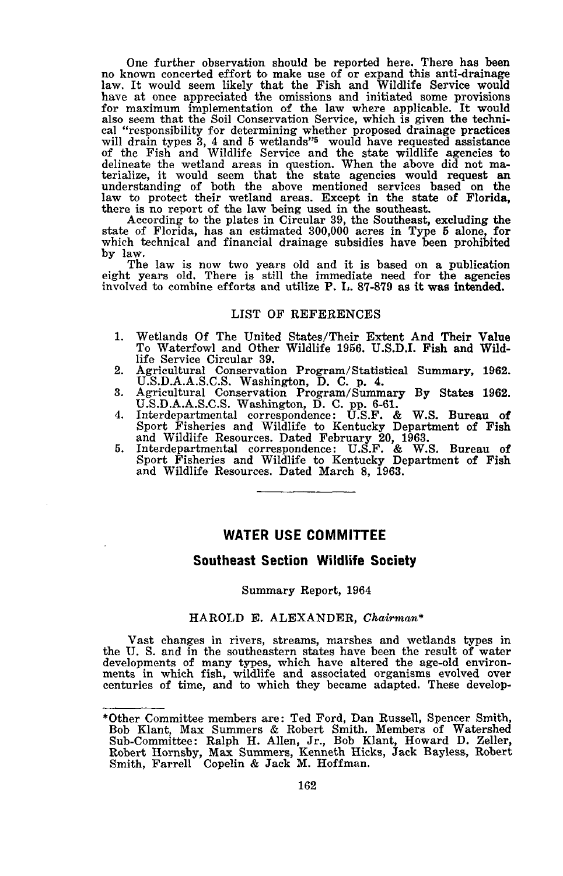One further observation should be reported here. There has been no known concerted effort to make use of or expand this anti-drainage law. It would seem likely that the Fish and Wildlife Service would have at once appreciated the omissions and initiated some provisions for maximum implementation of the law where applicable. It would also seem that the Soil Conservation Service, which is given the technical "responsibility for determining whether proposed drainage practices will drain types 3, 4 and 5 wetlands"<sup>5</sup> would have requested assistance of the Fish and Wildlife Service and the state wildlife agencies to delineate the wetland areas in question. When the above did not ma-<br>terialize, it would seem that the state agencies would request an<br>understanding of both the above mentioned services based on the law to protect their wetland areas. Except in the state of Florida, there is no report of the law being used in the southeast.

According to the plates in Circular 39, the Southeast, excluding the state of Florida, has an estimated 300,000 acres in Type 5 alone, for which technical and financial drainage subsidies have been prohibited by law.

The law is now two years old and it is based on <sup>a</sup> publication eight years old. There is still the immediate need for the agencies involved to combine efforts and utilize P. L. 87-879 as it was intended.

## LIST OF REFERENCES

- 1. Wetlands Of The United States/Their Extent And Their Value To Waterfowl and Other Wildlife 1956. U.S.D.1. Fish and Wildlife Service Circular 39.
- 2. Agricultural Conservation Program/Statistical Summary, 1962. U.S.D.A.A.S.C.S. Washington, D. C. p. 4.
- 3. Agricultural Conservation Program/Summary By States 1962.
- U.S.D.A.A.S.C.S. Washington, D. C. pp. 6-61. 4. Interdepartmental correspondence: U.S.F. & W.S. Bureau of Sport Fisheries and Wildlife to Kentucky Department of Fish and Wildlife Resources. Dated February 20, 1963. 5. Interdepartmental correspondence: U.S.F. & W.S. Bureau of
- Sport Fisheries and Wildlife to Kentucky Department of Fish and Wildlife Resources. Dated March 8, 1963.

## **WATER USE COMMITTEE**

## **Southeast Section Wildlife Society**

#### Summary Report, 1964

## HAROLD E. ALEXANDER, *Chairman\**

Vast changes in rivers, streams, marshes and wetlands types in the U. S. and in the southeastern states have been the result of water developments of many types, which have altered the age-old environments in which fish, wildlife and associated organisms evolved over centuries of time, and to which they became adapted. These develop-

<sup>\*</sup>Other Committee members are: Ted Ford, Dan Russell, Spencer Smith, Bob Klant, Max Summers & Robert Smith. Members of Watershed Sub-Committee: Ralph H. Allen, Jr., Bob Klant, Howard D. Zeller, Robert Hornsby, Max Summers, Kenneth Hicks, Jack Bayless, Robert Smith, Farrell Copelin & Jack M. Hoffman.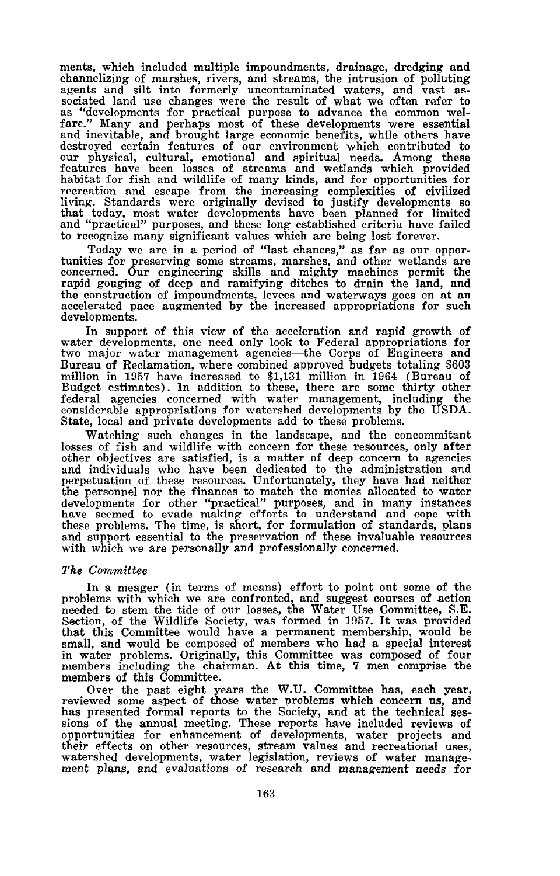ments, which included multiple impoundments, drainage, dredging and channelizing of marshes, rivers, and streams, the intrusion of polluting agents and silt into formerly uncontaminated waters, and vast as-sociated land use changes were the result of what we often refer to as "developments for practical purpose to advance the common welfare." Many and perhaps most of these developments were essential and inevitable, and brought large economic benefits, while others have destroyed certain features of our environment which contributed to our physical, cultural, emotional and spiritual needs. Among these features have been losses of streams and wetlands which provided habitat for fish and wildlife of many kinds, and for opportunities for recreation and escape from the increasing complexities of civilized living. Standards were originally devised to justify developments so that today, most water developments have been planned for limited that today, most water developments have been planned for limited and "practical" purposes, and these long established criteria have failed to recognize many significant values which are being lost forever.

Today we are in a period of "last chances," as far as our opportunities for preserving some streams, marshes, and other wetlands are concerned. Our engineering skills and mighty machines permit the rapid gouging of deep and ramifying ditches to drain the land, and the construction of impoundments, levees and waterways goes on at an accelerated pace augmented by the increased appropriations for such developments.

In support of this view of the acceleration and rapid growth of water developments, one need only look to Federal appropriations for two major water management agencies-the Corps of Engineers and Bureau of Reclamation, where combined approved budgets totaling \$603 million in 1957 have increased to \$1,131 million in 1964 (Bureau of Budget estimates). In addition to these, there are some thirty other federal agencies concerned with water management, including the considerable appropriations for watershed developments by the USDA. State, local and private developments add to these problems.

Watching such changes in the landscape, and the concommitant losses of fish and wildlife with concern for these resources, only after other objectives are satisfied, is a matter of deep concern to agencies and individuals who have been dedicated to the administration and perpetuation of these resources. Unfortunately, they have had neither the personnel nor the finances to match the monies allocated to water developments for other "practical" purposes, and in many instances have seemed to evade making efforts to understand and cope with these problems. The time, is short, for formulation of standards, plans and support essential to the preservation of these invaluable resources with which we are personally and professionally concerned.

### *The Committee*

In a meager (in terms of means) effort to point out some of the problems with which we are confronted, and suggest courses of action needed to stem the tide of our losses, the Water Use Committee, S.E. Section, of the Wildlife Society, was formed in 1957. It was provided that this Committee would have a permanent membership, would be small, and would be composed of members who had a special interest in water problems. Originally, this Committee was composed of four members including the chairman. At this time, 7 men comprise the members of this Committee.

Over the past eight years the W.U. Committee has, each year, reviewed some aspect of those water problems which concern us, and has presented formal reports to the Society, and at the technical ses- sions of the annual meeting. These reports have included reviews of opportunities for enhancement of developments, water projects and their effects on other resources, stream values and recreational uses, watershed developments, water legislation, reviews of water management plans, and evaluations of research and management needs for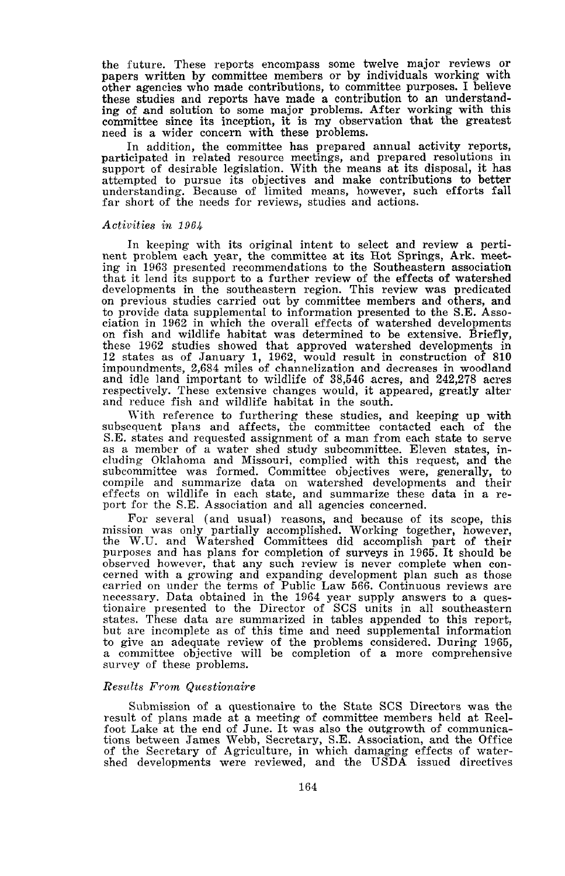the future. These reports encompass some twelve major reviews or papers written by committee members or by individuals working with other agencies who made contributions, to committee purposes. I believe these studies and reports have made a contribution to an understanding of and solution to some major problems. After working with this committee since its inception, it is my observation that the greatest need is a wider concern with these problems.

In addition, the committee has prepared annual activity reports, participated in related resource meetings, and prepared resolutions in support of desirable legislation. With the means at its disposal, it has attempted to pursue its objectives and make contributions to better understanding. Because of limited means, however, such efforts fall far short of the needs for reviews, studies and actions.

#### *Activities in 1961,.*

In keeping with its original intent to select and review a perti-nent problem each year, the committee at its Hot Springs, Ark. meeting in 1963 presented recommendations to the Southeastern association that it lend its support to a further review of the effects of watershed developments in the southeastern region. This review was predicated on previous studies carried out by committee members and others, and on previous studies carried out by committee members and others, and<br>to provide data supplemental to information presented to the S.E. Asso-<br>ciation in 1962 in which the overall effects of watershed developments on fish and wildlife habitat was determined to be extensive. Briefly, these 1962 studies showed that approved watershed developments in<br>12 states as of January 1, 1962, would result in construction of 810 impoundments, 2,684 miles of channelization and decreases in woodland and idle land important to wildlife of 38,546 acres, and 242,278 acres and idle land important to wildlife of 38,546 acres, and 242,278 acres respectively. These extensive changes would, it appeared, greatly alter and reduce fish and wildlife habitat in the south.

With reference to furthering these studies, and keeping up with subsequent plans and affects, the committee contacted each of the S.E. states and requested assignment of a man from each state to serve S.E. states and requested assignment of <sup>a</sup> man from each state to serve as <sup>a</sup> member of <sup>a</sup> water shed study subcommittee. Eleven states, in-cluding Oklahoma and Missouri, complied with this request, and the subcommittee was formed. Committee objectives were, generally, to compile and summarize data on watershed developments and their effects on wildlife in each state, and summarize these data in <sup>a</sup> re- port for the S.E. Association and all agencies concerned.

For several (and usual) reasons, and because of its scope, this mission was only partially accomplished. Working together, however, the W.U. and Watershed Committees did accomplish part of their purposes and has plans for completion of surveys in 1965. It should be observed however, that any such review is never complete when concerned with a growing and expanding development plan such as those carried on under the terms of Public Law 566. Continuous reviews are carried on under the terms of Public Law 566. Continuous reviews are necessary. Data obtained in the <sup>1964</sup> year supply answers to <sup>a</sup> questionaire presented to the Director of SCS units in all southeastern states. These data are summarized in tables appended to this report, but are incomplete as of this time and need supplemental information to give an adequate review of the problems considered. During 1965, <sup>a</sup> committee objective will be completion of <sup>a</sup> more comprehensive survey of these problems.

#### *Results From Questionaire*

Submission of a questionaire to the State SCS Directors was the result of plans made at a meeting of committee members held at Reel-foot Lake at the end of June. It was also the outgrowth of communications between James Webb, Secretary, S.E. Association, and the Office of the Secretary of Agriculture, in which damaging effects of watershed developments were reviewed, and the USDA issued directives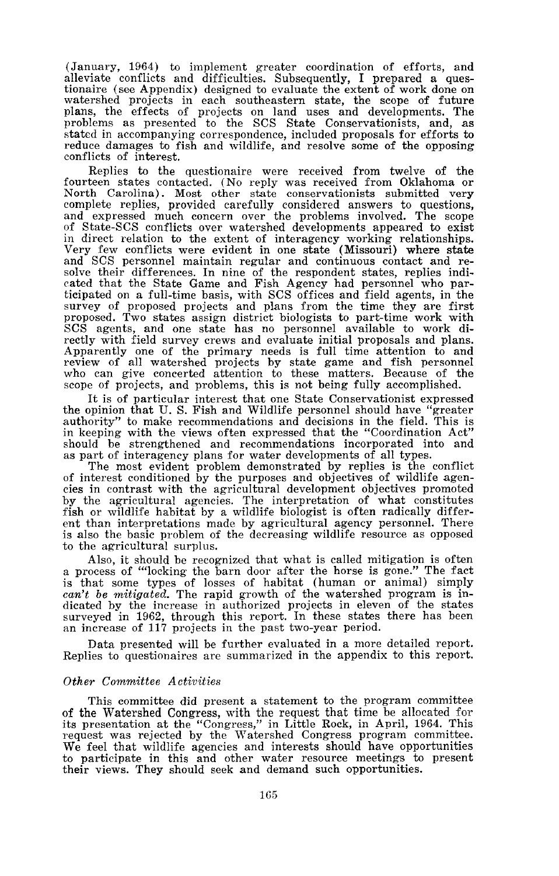(January, 1964) to implement greater coordination of efforts, and alleviate conflicts and difficulties. Subsequently, I prepared a questionaire (see Appendix) designed to evaluate the extent of work done on watershed projects in each southeastern state, the scope of future plans, the effects of projects on land uses and developments. The problems as presented to the SCS State Conservationists, and, as stated in accompanying correspondence, included proposals for efforts to reduce damages to fish and wildlife, and resolve some of the opposing conflicts of interest.

Replies to the questionaire were received from twelve of the fourteen states contacted. (No reply was received from Oklahoma or North Carolina). Most other state conservationists submitted very complete replies, provided carefully considered answers to questions, and expressed much concern over the problems involved. The scope of State-SCS conflicts over watershed developments appeared to exist in direct relation to the extent of interagency working relationships. Very few conflicts were evident in one state (Missouri) where state and SCS personnel maintain regular and continuous contact and resolve their differences. In nine of the respondent states, replies indi-cated that the State Game and Fish Agency had personnel who participated on a full-time basis, with SCS offices and field agents, in the survey of proposed projects and plans from the time they are first proposed. Two states assign district biologists to part-time work with SCS agents, and one state has no personnel available to work directly with field survey crews and evaluate initial proposals and plans. Apparently one of the primary needs is full time attention to and review of all watershed projects by state game and fish personnel who can give concerted attention to these matters. Because of the scope of projects, and problems, this is not being fully accomplished.

It is of particular interest that one State Conservationist expressed the opinion that U. S. Fish and Wildlife personnel should have "greater authority" to make recommendations and decisions in the field. This is in keeping with the views often expressed that the "Coordination Act" should be strengthened and recommendations incorporated into and as part of interagency plans for water developments of all types. The most evident problem demonstrated by replies is the conflict

of interest conditioned by the purposes and objectives of wildlife agencies in contrast with the agricultural development objectives promoted by the agricultural agencies. The interpretation of what constitutes fish or wildlife habitat by a wildlife biologist is often radically different than interpretations made by agricultural agency personnel. There is also the basic problem of the decreasing wildlife resource as opposed to the agricultural surplus.

Also, it should be recognized that what is called mitigation is often <sup>a</sup> process of "'locking the barn door after the horse is gone." The fact is that some types of losses of habitat (human or animal) simply *can't be mitigated.* The rapid growth of the watershed program is indicated by the increase in authorized projects in eleven of the states surveyed in 1962, through this report. In these states there has been an increase of <sup>117</sup> projects in the past two-year period.

Data presented will be further evaluated in a more detailed report. Replies to questionaires are summarized in the appendix to this report.

#### *Other Committee Activities*

This committee did present a statement to the program committee of the Watershed Congress, with the request that time be allocated for its presentation at the "Congress," in Little Rock, in April, 1964. This request was rejected by the Watershed Congress program committee. We feel that wildlife agencies and interests should have opportunities to participate in this and other water resource meetings to present their views. They should seek and demand such opportunities.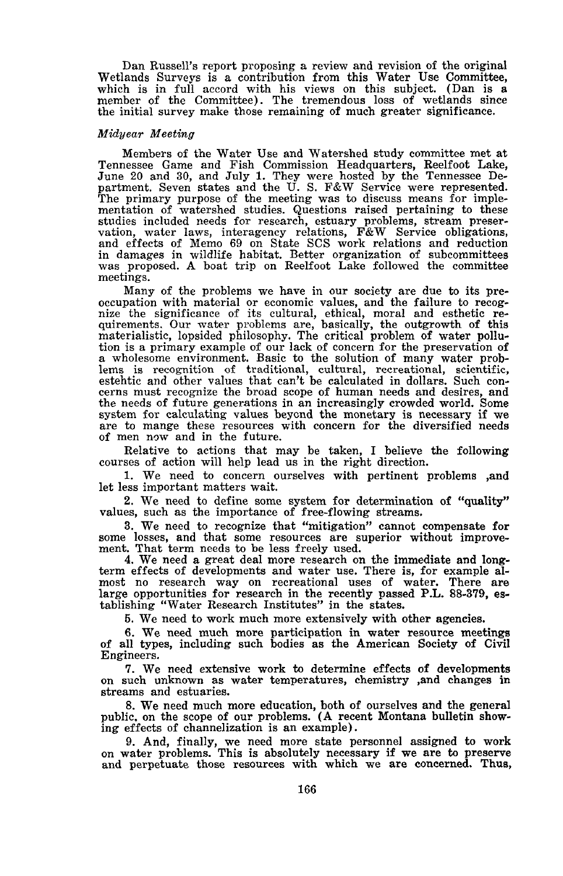Dan Russell's report proposing a review and revision of the original Wetlands Surveys is a contribution from this Water Use Committee, which is in full accord with his views on this subject. (Dan is <sup>a</sup> member of the Committee). The tremendous loss of wetlands since the initial survey make those remaining of much greater significance.

## *Midyear Meeting*

Members of the Water Use and Watershed study committee met at Tennessee Game and Fish Commission Headquarters, Reelfoot Lake, June 20 and 30, and July 1. They were hosted by the Tennessee Department. Seven states and the U. S. F&W Service were represented. The primary purpose of the meeting was to discuss means for implementation of watershed studies. Questions raised pertaining to these studies included needs for research, estuary problems, stream preservation, water laws, interagency relations, F&W Service obligations, and effects of Memo 69 on State SCS work relations and reduction in damages in wildlife habitat. Better organization of subcommittees was proposed. <sup>A</sup> boat trip on Reelfoot Lake followed the committee meetings.

Many of the problems we have in our society are due to its preoccupation with material or economic values, and the failure to recognize the significance of its cultural, ethical, moral and esthetic re- quirements. Our water problems are, basically, the outgrowth of this materialistic, lopsided philosophy. The critical problem of water pollution is <sup>a</sup> primary example of our lack of concern for the preservation of <sup>a</sup> wholesome environment. Basic to the solution of many water problems is recognition of traditional, cultural, recreational, scientific, estehtic and other values that can't be calculated in dollars. Such con-<br>cerns must recognize the broad scope of human needs and desires, and the needs of future generations in an increasingly crowded world. Some system for calculating values beyond the monetary is necessary if we are to mange these resources with concern for the diversified needs of men now and in the future.

Relative to actions that may be taken, <sup>I</sup> believe the following courses of action will help lead us in the right direction.

1. We need to concern ourselves with pertinent problems ,and let less important matters wait.

2. We need to define some system for determination of "quality" values, such as the importance of free-flowing streams.

3. We need to recognize that "mitigation" cannot compensate for some losses, and that some resources are superior without improve-ment. That term needs to be less freely used.

4. We need a great deal more research on the immediate and longterm effects of developments and water use. There is, for example al-<br>most no research way on recreational uses of water. There are harge opportunities for research in the recently passed P.L. 88-379, establishing "Water Research Institutes" in the states.

5. We need to work much more extensively with other agencies.

6. We need much more participation in water resource meetings of all types, including such bodies as the American Society of Civil Engineers.

7. We need extensive work to determine effects of developments on such unknown as water temperatures, chemistry ,and changes in streams and estuaries.

8. We need much more education, both of ourselves and the general public. on the scope of our problems. (A recent Montana bulletin showing effects of channelization is an example).

9. And, finally, we need more state personnel assigned to work on water problems. This is absolutely necessary if we are to preserve and perpetuate those resources with which we are concerned. Thus,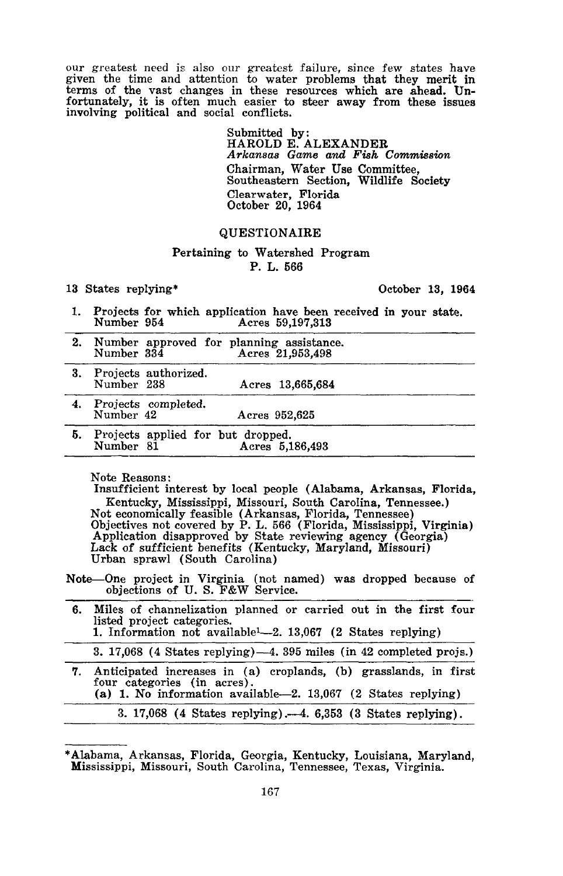our greatest need is also our greatest failure, since few states have given the time and attention to water problems that they merit in terms of the vast changes in these resources which are ahead. Un-fortunately, it is often much easier to steer away from these issues involving political and social conflicts.

> Submitted by: HAROLD E. ALEXANDER *Arkansas Game and Fisk Commission* Chairman, Water Use Committee, Southeastern Section, Wildlife Society Clearwater, Florida October 20, 1964

## QUESTIONAIRE

## Pertaining to Watershed Program P. L. 566

## 13 States replying\* October 13, 1964

- 1. Projects for which application have been received in your state.<br>Number 954 **Acres** 59.197.313 Acres 59,197,313
- 2. Number approved for planning assistance.<br>Number 334 Acres 21.953.498 Acres 21,953.498 3. 4. 5. Projects authorized. Number 238 Projects completed. Number 42 Projects applied for but dropped. Number 81 Acres 13,665,684 Acres 952,625 Acres 5,186,493

Note Reasons:

Insufficient interest by local people (Alabama, Arkansas, Florida, Kentucky, Mississippi, Missouri, South Carolina, Tennessee.) Not economically feasible (Arkansas, Florida, Tennessee) Objectives not covered by P. L. <sup>566</sup> (Florida, Mississippi, Virginia) Application disapproved by State reviewing agency (Georgia) Lack of sufficient benefits (Kentucky, Maryland, Missouri) Urban sprawl (South Carolina)

- Note-One project in Virginia (not named) was dropped because of objections of U. S. F&W Service.
- 6. Miles of channelization planned or carried out in the first four listed project categories.
	- 1. Information not availablel-2. 13,067 (2 States replying)

7. Anticipated increases in (a) croplands, (b) grasslands, in first four categories (in acres). (a) 1. No information available-2. 13,067 (2 States replying)

3. 17,068 (4 States replying) .-4. 6,353 (3 States replying).

<sup>3.</sup> 17,068 (4 States replying)-4. <sup>395</sup> miles (in <sup>42</sup> completed projs.)

<sup>\*</sup>Alabama, Arkansas, Florida, Georgia, Kentucky, Louisiana, Maryland, Mississippi, Missouri, South Carolina, Tennessee, Texas, Virginia.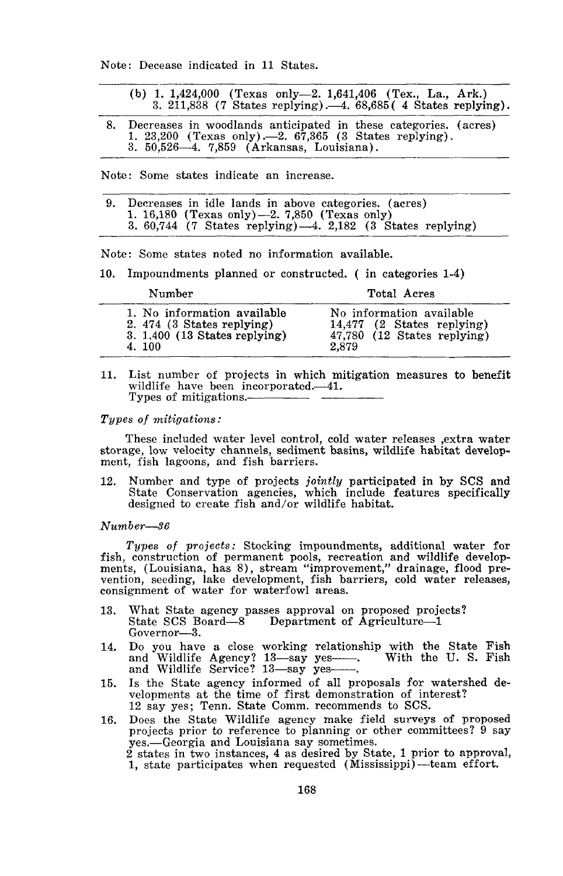| (b) 1. 1,424,000 (Texas only-2. 1,641,406 (Tex., La., Ark.)<br>3. 211,838 (7 States replying).—4. 68,685 (4 States replying).                                               |
|-----------------------------------------------------------------------------------------------------------------------------------------------------------------------------|
| 8. Decreases in woodlands anticipated in these categories. (acres)<br>1. 23,200 (Texas only). $-2.67,365$ (3 States replying).<br>3. 50,526-4. 7,859 (Arkansas, Louisiana). |

Note: Some states indicate an increase.

| 9. Decreases in idle lands in above categories. (acres)          |
|------------------------------------------------------------------|
| 1. 16,180 (Texas only) $-2.7,850$ (Texas only)                   |
| 3. $60,744$ (7 States replying) $-4$ . 2,182 (3 States replying) |

Note: Some states noted no information available.

10. Impoundments planned or constructed. ( in categories 1-4)

| Number                          | Total Acres                  |
|---------------------------------|------------------------------|
| 1. No information available     | No information available     |
| 2. $474$ (3 States replying)    | $14,477$ (2 States replying) |
| 3. $1,400$ (13 States replying) | 47,780 (12 States replying)  |
| 4.100                           | 2.879                        |

11. List number of projects in which mitigation measures to benefit wildlife have been incorporated.-41. Types of mitigations.--

#### *Types of mitigations:*

These included water level control, cold water releases ,extra water storage, low velocity channels, sediment basins, wildlife habitat development, fish lagoons, and fish barriers.

12. Number and type of projects *jointly* participated in by SCS and State Conservation agencies, which include features specifically designed to create fish and/or wildlife habitat.

#### *Number-36*

*Types of projects:* Stocking impoundments, additional water for fish, construction of permanent pools, recreation and wildlife develop-ments, (Louisiana, has 8), stream "improvement," drainage, flood prevention, seeding, lake development, fish barriers, cold water releases, consignment of water for waterfowl areas.

- 13. What State agency passes approval on proposed projects? State SCS Board-8 Department of Agriculture-1 Governor-3.
- 14. Do you have a close working relationship with the State Fish and Wildlife Agency? 13—say yes—. With the U. S. Fish and Wildlife Service? 13-say yes--.
- 15. Is the State agency informed of all proposals for watershed developments at the time of first demonstration of interest? 12 say yes; Tenn. State Comm. recommends to SCS.
- 16. Does the State Wildlife agency make field surveys of proposed projects prior to reference to planning or other committees? 9 say yes.-Georgia and Louisiana say sometimes. 2 states in two instances, 4 as desired by State, 1 prior to approval, 1, state participates when requested (Mississippi)-team effort.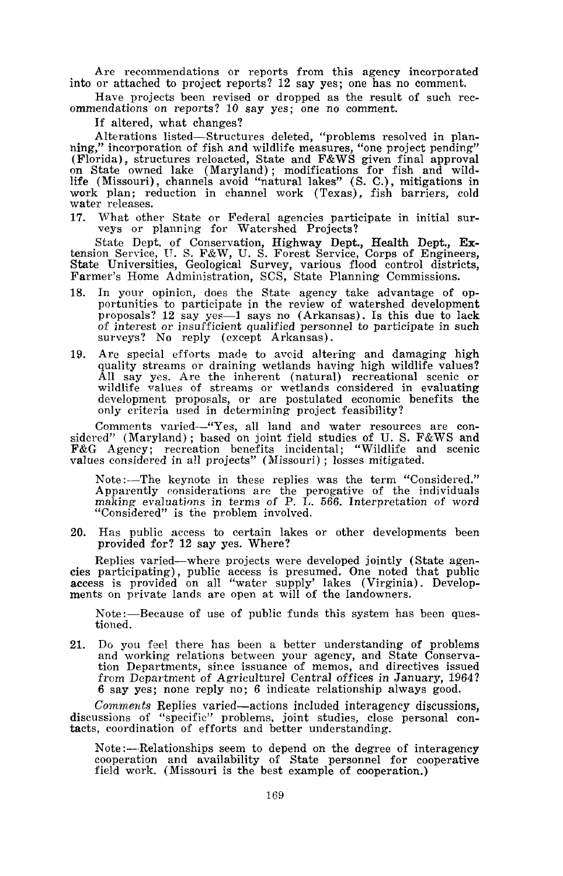Are recommendations or reports from this agency incorporated into or attached to project reports? 12 say yes; one has no comment.

Have projects been revised or dropped as the result of such rec- ommendations on reports? <sup>10</sup> say yes; one no comment.

If altered, what changes?

Alterations listed-Structures deleted, "problems resolved in planning," incorporation of fish and wildlife measures, "one project pending" (Florida), structures reloaded, State and F&WS given final approval on State owned lake (Maryland); modifications for fish and wildlife (Missouri), channels avoid "natural lakes" (S. C.), mitigations in work plan; reduction in channel work (Texas), fish barriers, cold water releases.

17. What other State or Federal agencies participate in initial sur- veys or planning for Watershed Projects?

State Dept. of Conservation, Highway Dept., Health Dept., **Ex-**tension Service, U. S. F&W, U. S. Forest Service, Corps of Engineers, State Universities, Geological Survey, various flood control districts, Farmer's Home Administration, SCS, State Planning Commissions.

- 18. In your opinion, does the State agency take advantage of opportunities to participate in the review of watershed development proposals? 12 say yes-1 says no (Arkansas). Is this due to lack of interest or insufficient qualified personnel to participate in such surveys? No reply (except Arkansas).
- 19. Are special efforts made to avoid altering and damaging high quality streams or draining wetlands having high wildlife values? All say yes. Are the inherent (natural) recreational scenic or wildlife values of streams or wetlands considered in evaluating development proposals, or are postulated economic benefits the only criteria used in determining project feasibility?

Comments varied-"Yes, all land and water resources are con-<br>sidered" (Maryland); based on joint field studies of U.S. F&WS and<br>state in the initial studies of the capie F&G Agency; recreation benefits incidental; "Wildlife and scenic values considered in all projects" (Missouri); losses mitigated.

Note:-The keynote in these replies was the term "Considered." Apparently considerations are the perogative of the individuals making evaluations in terms of P. L. 566. Interpretation of word "Considered" is the problem involved.

20. Has public access to certain lakes or other developments been provided for? 12 say yes. Where?

Replies varied-where projects were developed jointly (State agencies participating), public access is presumed. One noted that public access is provided on all "water supply' lakes (Virginia). Developments on private lands are open at will of the landowners.

Note:—Because of use of public funds this system has been questioned.

21. Do you feel there has been a better understanding of problems and working relations between your agency, and State Conserva-tion Departments, since issuance of memos, and directives issued from Department of Agriculturel Central offices in January, 1964? 6 say yes; none reply no; 6 indicate relationship always good.

*Comments* Replies varied—actions included interagency discussions, discussions of "specific" problems, joint studies, close personal con-<br>tacts, coordination of efforts and better understanding.

Note:---Relationships seem to depend on the degree of interagency cooperation and availability of State personnel for cooperative field work. (Missouri is the best example of cooperation.)